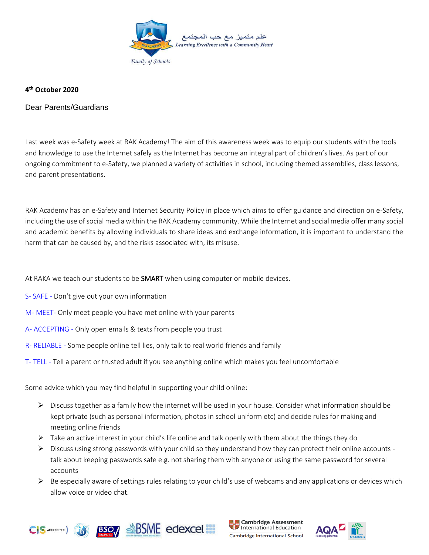

## **4 th October 2020**

Dear Parents/Guardians

Last week was e-Safety week at RAK Academy! The aim of this awareness week was to equip our students with the tools and knowledge to use the Internet safely as the Internet has become an integral part of children's lives. As part of our ongoing commitment to e-Safety, we planned a variety of activities in school, including themed assemblies, class lessons, and parent presentations.

RAK Academy has an e-Safety and Internet Security Policy in place which aims to offer guidance and direction on e-Safety, including the use of social media within the RAK Academy community. While the Internet and social media offer many social and academic benefits by allowing individuals to share ideas and exchange information, it is important to understand the harm that can be caused by, and the risks associated with, its misuse.

At RAKA we teach our students to be **SMART** when using computer or mobile devices.

- S- SAFE Don't give out your own information
- M- MEET- Only meet people you have met online with your parents
- A- ACCEPTING Only open emails & texts from people you trust
- R- RELIABLE Some people online tell lies, only talk to real world friends and family
- T- TELL Tell a parent or trusted adult if you see anything online which makes you feel uncomfortable

Some advice which you may find helpful in supporting your child online:

- ➢ Discuss together as a family how the internet will be used in your house. Consider what information should be kept private (such as personal information, photos in school uniform etc) and decide rules for making and meeting online friends
- $\triangleright$  Take an active interest in your child's life online and talk openly with them about the things they do
- $\triangleright$  Discuss using strong passwords with your child so they understand how they can protect their online accounts talk about keeping passwords safe e.g. not sharing them with anyone or using the same password for several accounts
- $\triangleright$  Be especially aware of settings rules relating to your child's use of webcams and any applications or devices which allow voice or video chat.